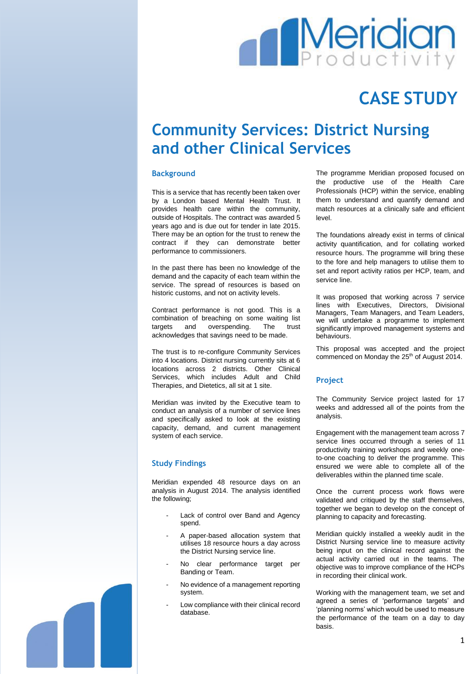# **Meridian**

## **CASE STUDY**

### **Community Services: District Nursing and other Clinical Services**

#### **Background**

This is a service that has recently been taken over by a London based Mental Health Trust. It provides health care within the community, outside of Hospitals. The contract was awarded 5 years ago and is due out for tender in late 2015. There may be an option for the trust to renew the contract if they can demonstrate better performance to commissioners.

In the past there has been no knowledge of the demand and the capacity of each team within the service. The spread of resources is based on historic customs, and not on activity levels.

Contract performance is not good. This is a combination of breaching on some waiting list targets and overspending. The trust acknowledges that savings need to be made.

The trust is to re-configure Community Services into 4 locations. District nursing currently sits at 6 locations across 2 districts. Other Clinical Services, which includes Adult and Child Therapies, and Dietetics, all sit at 1 site.

Meridian was invited by the Executive team to conduct an analysis of a number of service lines and specifically asked to look at the existing capacity, demand, and current management system of each service.

#### **Study Findings**

Meridian expended 48 resource days on an analysis in August 2014. The analysis identified the following;

- Lack of control over Band and Agency spend.
- A paper-based allocation system that utilises 18 resource hours a day across the District Nursing service line.
- No clear performance target per Banding or Team.
- No evidence of a management reporting system.
- Low compliance with their clinical record database.

The programme Meridian proposed focused on the productive use of the Health Care Professionals (HCP) within the service, enabling them to understand and quantify demand and match resources at a clinically safe and efficient level.

The foundations already exist in terms of clinical activity quantification, and for collating worked resource hours. The programme will bring these to the fore and help managers to utilise them to set and report activity ratios per HCP, team, and service line.

It was proposed that working across 7 service lines with Executives, Directors, Divisional Managers, Team Managers, and Team Leaders, we will undertake a programme to implement significantly improved management systems and behaviours.

This proposal was accepted and the project commenced on Monday the 25<sup>th</sup> of August 2014.

#### **Project**

The Community Service project lasted for 17 weeks and addressed all of the points from the analysis.

Engagement with the management team across 7 service lines occurred through a series of 11 productivity training workshops and weekly oneto-one coaching to deliver the programme. This ensured we were able to complete all of the deliverables within the planned time scale.

Once the current process work flows were validated and critiqued by the staff themselves, together we began to develop on the concept of planning to capacity and forecasting.

Meridian quickly installed a weekly audit in the District Nursing service line to measure activity being input on the clinical record against the actual activity carried out in the teams. The objective was to improve compliance of the HCPs in recording their clinical work.

Working with the management team, we set and agreed a series of 'performance targets' and 'planning norms' which would be used to measure the performance of the team on a day to day basis.